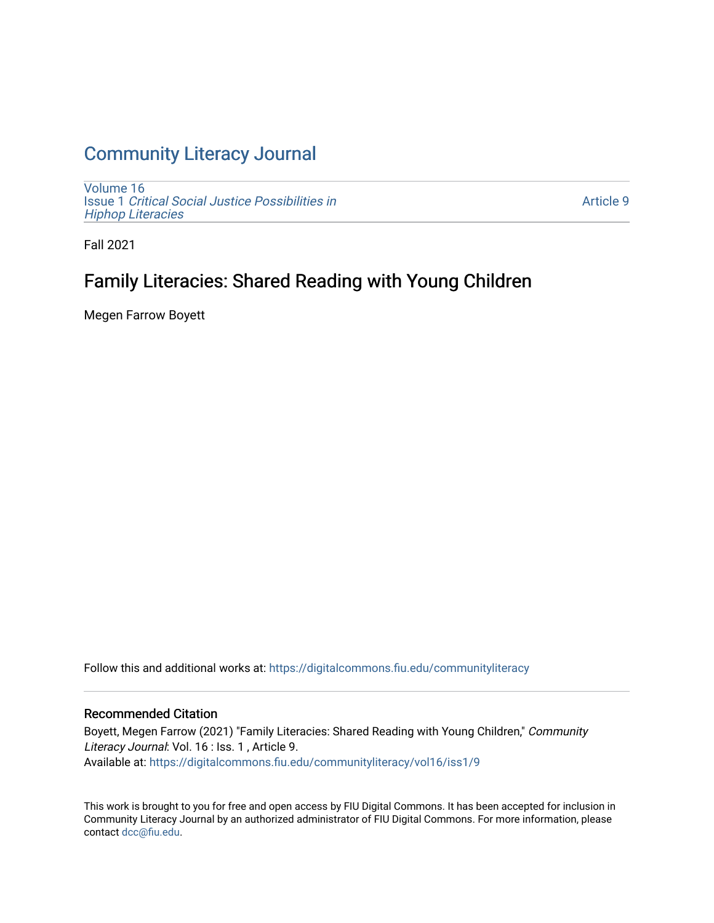### [Community Literacy Journal](https://digitalcommons.fiu.edu/communityliteracy)

[Volume 16](https://digitalcommons.fiu.edu/communityliteracy/vol16) Issue 1 [Critical Social Justice Possibilities in](https://digitalcommons.fiu.edu/communityliteracy/vol16/iss1) [Hiphop Literacies](https://digitalcommons.fiu.edu/communityliteracy/vol16/iss1)

[Article 9](https://digitalcommons.fiu.edu/communityliteracy/vol16/iss1/9) 

Fall 2021

## Family Literacies: Shared Reading with Young Children

Megen Farrow Boyett

Follow this and additional works at: [https://digitalcommons.fiu.edu/communityliteracy](https://digitalcommons.fiu.edu/communityliteracy?utm_source=digitalcommons.fiu.edu%2Fcommunityliteracy%2Fvol16%2Fiss1%2F9&utm_medium=PDF&utm_campaign=PDFCoverPages)

#### Recommended Citation

Boyett, Megen Farrow (2021) "Family Literacies: Shared Reading with Young Children," Community Literacy Journal: Vol. 16 : Iss. 1, Article 9. Available at: [https://digitalcommons.fiu.edu/communityliteracy/vol16/iss1/9](https://digitalcommons.fiu.edu/communityliteracy/vol16/iss1/9?utm_source=digitalcommons.fiu.edu%2Fcommunityliteracy%2Fvol16%2Fiss1%2F9&utm_medium=PDF&utm_campaign=PDFCoverPages) 

This work is brought to you for free and open access by FIU Digital Commons. It has been accepted for inclusion in Community Literacy Journal by an authorized administrator of FIU Digital Commons. For more information, please contact [dcc@fiu.edu](mailto:dcc@fiu.edu).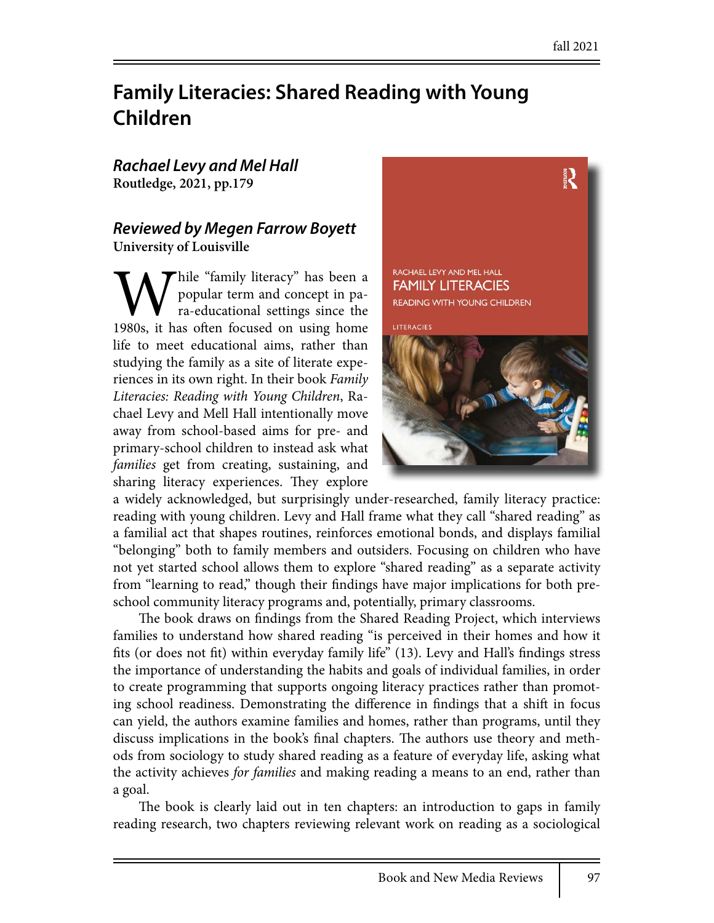# **Family Literacies: Shared Reading with Young Children**

## *Rachael Levy and Mel Hall*

**Routledge, 2021, pp.179**

#### *Reviewed by Megen Farrow Boyett* **University of Louisville**

**W**hile "family literacy" has been a popular term and concept in para-educational settings since the 1980s, it has often focused on using home popular term and concept in para-educational settings since the life to meet educational aims, rather than studying the family as a site of literate experiences in its own right. In their book *Family Literacies: Reading with Young Children*, Rachael Levy and Mell Hall intentionally move away from school-based aims for pre- and primary-school children to instead ask what *families* get from creating, sustaining, and sharing literacy experiences. They explore



a widely acknowledged, but surprisingly under-researched, family literacy practice: reading with young children. Levy and Hall frame what they call "shared reading" as a familial act that shapes routines, reinforces emotional bonds, and displays familial "belonging" both to family members and outsiders. Focusing on children who have not yet started school allows them to explore "shared reading" as a separate activity from "learning to read," though their findings have major implications for both preschool community literacy programs and, potentially, primary classrooms.

The book draws on findings from the Shared Reading Project, which interviews families to understand how shared reading "is perceived in their homes and how it fits (or does not fit) within everyday family life" (13). Levy and Hall's findings stress the importance of understanding the habits and goals of individual families, in order to create programming that supports ongoing literacy practices rather than promoting school readiness. Demonstrating the difference in findings that a shift in focus can yield, the authors examine families and homes, rather than programs, until they discuss implications in the book's final chapters. The authors use theory and methods from sociology to study shared reading as a feature of everyday life, asking what the activity achieves *for families* and making reading a means to an end, rather than a goal.

The book is clearly laid out in ten chapters: an introduction to gaps in family reading research, two chapters reviewing relevant work on reading as a sociological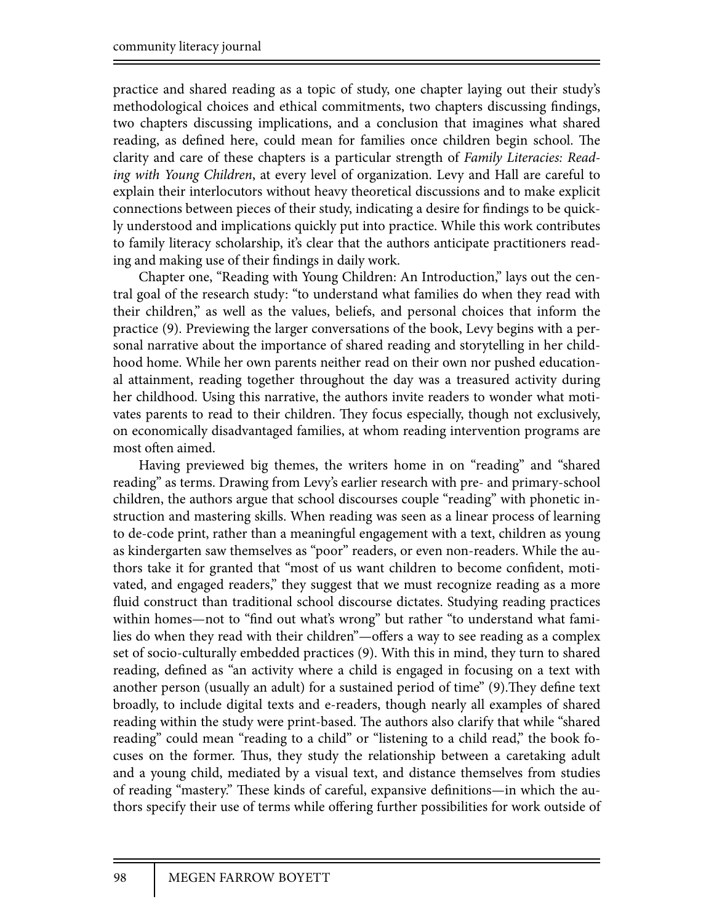practice and shared reading as a topic of study, one chapter laying out their study's methodological choices and ethical commitments, two chapters discussing findings, two chapters discussing implications, and a conclusion that imagines what shared reading, as defined here, could mean for families once children begin school. The clarity and care of these chapters is a particular strength of *Family Literacies: Reading with Young Children*, at every level of organization. Levy and Hall are careful to explain their interlocutors without heavy theoretical discussions and to make explicit connections between pieces of their study, indicating a desire for findings to be quickly understood and implications quickly put into practice. While this work contributes to family literacy scholarship, it's clear that the authors anticipate practitioners reading and making use of their findings in daily work.

Chapter one, "Reading with Young Children: An Introduction," lays out the central goal of the research study: "to understand what families do when they read with their children," as well as the values, beliefs, and personal choices that inform the practice (9). Previewing the larger conversations of the book, Levy begins with a personal narrative about the importance of shared reading and storytelling in her childhood home. While her own parents neither read on their own nor pushed educational attainment, reading together throughout the day was a treasured activity during her childhood. Using this narrative, the authors invite readers to wonder what motivates parents to read to their children. They focus especially, though not exclusively, on economically disadvantaged families, at whom reading intervention programs are most often aimed.

Having previewed big themes, the writers home in on "reading" and "shared reading" as terms. Drawing from Levy's earlier research with pre- and primary-school children, the authors argue that school discourses couple "reading" with phonetic instruction and mastering skills. When reading was seen as a linear process of learning to de-code print, rather than a meaningful engagement with a text, children as young as kindergarten saw themselves as "poor" readers, or even non-readers. While the authors take it for granted that "most of us want children to become confident, motivated, and engaged readers," they suggest that we must recognize reading as a more fluid construct than traditional school discourse dictates. Studying reading practices within homes—not to "find out what's wrong" but rather "to understand what families do when they read with their children"—offers a way to see reading as a complex set of socio-culturally embedded practices (9). With this in mind, they turn to shared reading, defined as "an activity where a child is engaged in focusing on a text with another person (usually an adult) for a sustained period of time" (9). They define text broadly, to include digital texts and e-readers, though nearly all examples of shared reading within the study were print-based. The authors also clarify that while "shared" reading" could mean "reading to a child" or "listening to a child read," the book focuses on the former. Thus, they study the relationship between a caretaking adult and a young child, mediated by a visual text, and distance themselves from studies of reading "mastery." These kinds of careful, expansive definitions—in which the authors specify their use of terms while offering further possibilities for work outside of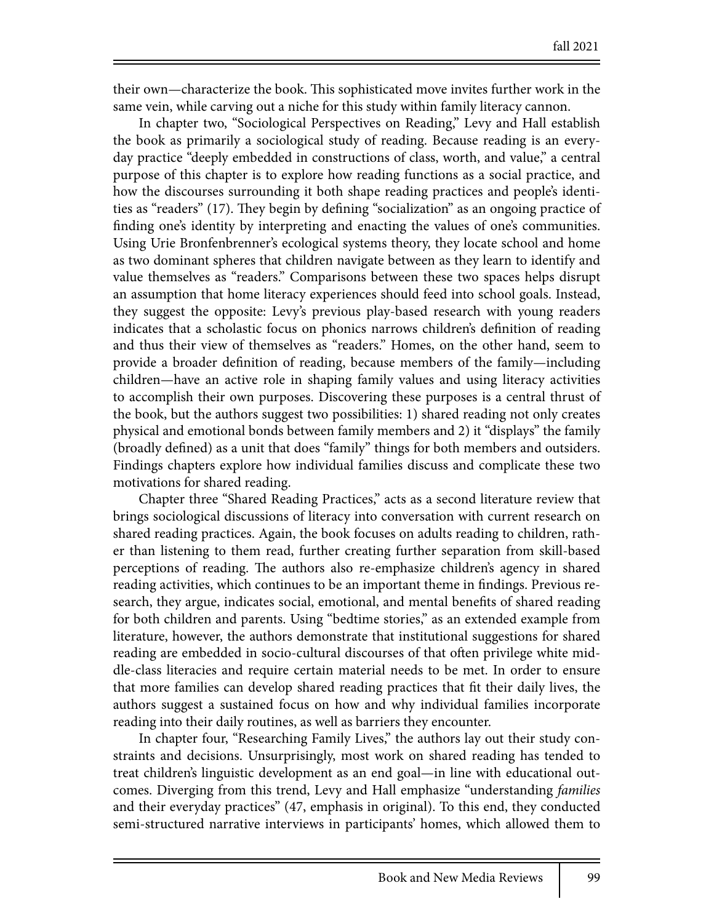their own—characterize the book. This sophisticated move invites further work in the same vein, while carving out a niche for this study within family literacy cannon.

In chapter two, "Sociological Perspectives on Reading," Levy and Hall establish the book as primarily a sociological study of reading. Because reading is an everyday practice "deeply embedded in constructions of class, worth, and value," a central purpose of this chapter is to explore how reading functions as a social practice, and how the discourses surrounding it both shape reading practices and people's identities as "readers" (17). They begin by defining "socialization" as an ongoing practice of finding one's identity by interpreting and enacting the values of one's communities. Using Urie Bronfenbrenner's ecological systems theory, they locate school and home as two dominant spheres that children navigate between as they learn to identify and value themselves as "readers." Comparisons between these two spaces helps disrupt an assumption that home literacy experiences should feed into school goals. Instead, they suggest the opposite: Levy's previous play-based research with young readers indicates that a scholastic focus on phonics narrows children's definition of reading and thus their view of themselves as "readers." Homes, on the other hand, seem to provide a broader definition of reading, because members of the family—including children—have an active role in shaping family values and using literacy activities to accomplish their own purposes. Discovering these purposes is a central thrust of the book, but the authors suggest two possibilities: 1) shared reading not only creates physical and emotional bonds between family members and 2) it "displays" the family (broadly defined) as a unit that does "family" things for both members and outsiders. Findings chapters explore how individual families discuss and complicate these two motivations for shared reading.

Chapter three "Shared Reading Practices," acts as a second literature review that brings sociological discussions of literacy into conversation with current research on shared reading practices. Again, the book focuses on adults reading to children, rather than listening to them read, further creating further separation from skill-based perceptions of reading. The authors also re-emphasize children's agency in shared reading activities, which continues to be an important theme in findings. Previous research, they argue, indicates social, emotional, and mental benefits of shared reading for both children and parents. Using "bedtime stories," as an extended example from literature, however, the authors demonstrate that institutional suggestions for shared reading are embedded in socio-cultural discourses of that often privilege white middle-class literacies and require certain material needs to be met. In order to ensure that more families can develop shared reading practices that fit their daily lives, the authors suggest a sustained focus on how and why individual families incorporate reading into their daily routines, as well as barriers they encounter.

In chapter four, "Researching Family Lives," the authors lay out their study constraints and decisions. Unsurprisingly, most work on shared reading has tended to treat children's linguistic development as an end goal—in line with educational outcomes. Diverging from this trend, Levy and Hall emphasize "understanding *families*  and their everyday practices" (47, emphasis in original). To this end, they conducted semi-structured narrative interviews in participants' homes, which allowed them to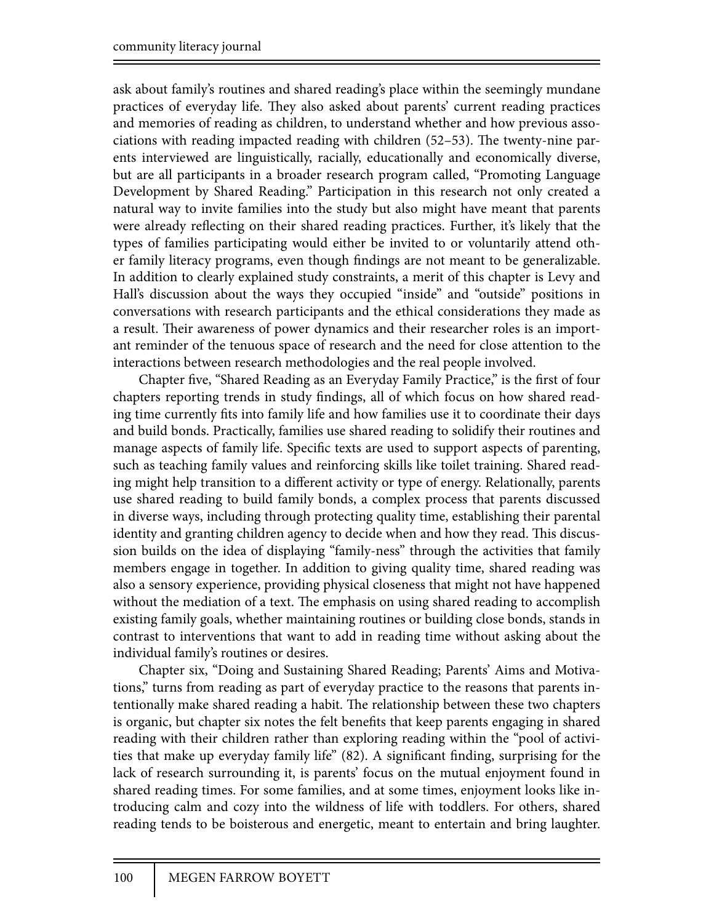ask about family's routines and shared reading's place within the seemingly mundane practices of everyday life. They also asked about parents' current reading practices and memories of reading as children, to understand whether and how previous associations with reading impacted reading with children  $(52-53)$ . The twenty-nine parents interviewed are linguistically, racially, educationally and economically diverse, but are all participants in a broader research program called, "Promoting Language Development by Shared Reading." Participation in this research not only created a natural way to invite families into the study but also might have meant that parents were already reflecting on their shared reading practices. Further, it's likely that the types of families participating would either be invited to or voluntarily attend other family literacy programs, even though findings are not meant to be generalizable. In addition to clearly explained study constraints, a merit of this chapter is Levy and Hall's discussion about the ways they occupied "inside" and "outside" positions in conversations with research participants and the ethical considerations they made as a result. Their awareness of power dynamics and their researcher roles is an important reminder of the tenuous space of research and the need for close attention to the interactions between research methodologies and the real people involved.

Chapter five, "Shared Reading as an Everyday Family Practice," is the first of four chapters reporting trends in study findings, all of which focus on how shared reading time currently fits into family life and how families use it to coordinate their days and build bonds. Practically, families use shared reading to solidify their routines and manage aspects of family life. Specific texts are used to support aspects of parenting, such as teaching family values and reinforcing skills like toilet training. Shared reading might help transition to a different activity or type of energy. Relationally, parents use shared reading to build family bonds, a complex process that parents discussed in diverse ways, including through protecting quality time, establishing their parental identity and granting children agency to decide when and how they read. This discussion builds on the idea of displaying "family-ness" through the activities that family members engage in together. In addition to giving quality time, shared reading was also a sensory experience, providing physical closeness that might not have happened without the mediation of a text. The emphasis on using shared reading to accomplish existing family goals, whether maintaining routines or building close bonds, stands in contrast to interventions that want to add in reading time without asking about the individual family's routines or desires.

Chapter six, "Doing and Sustaining Shared Reading; Parents' Aims and Motivations," turns from reading as part of everyday practice to the reasons that parents intentionally make shared reading a habit. The relationship between these two chapters is organic, but chapter six notes the felt benefits that keep parents engaging in shared reading with their children rather than exploring reading within the "pool of activities that make up everyday family life"  $(82)$ . A significant finding, surprising for the lack of research surrounding it, is parents' focus on the mutual enjoyment found in shared reading times. For some families, and at some times, enjoyment looks like introducing calm and cozy into the wildness of life with toddlers. For others, shared reading tends to be boisterous and energetic, meant to entertain and bring laughter.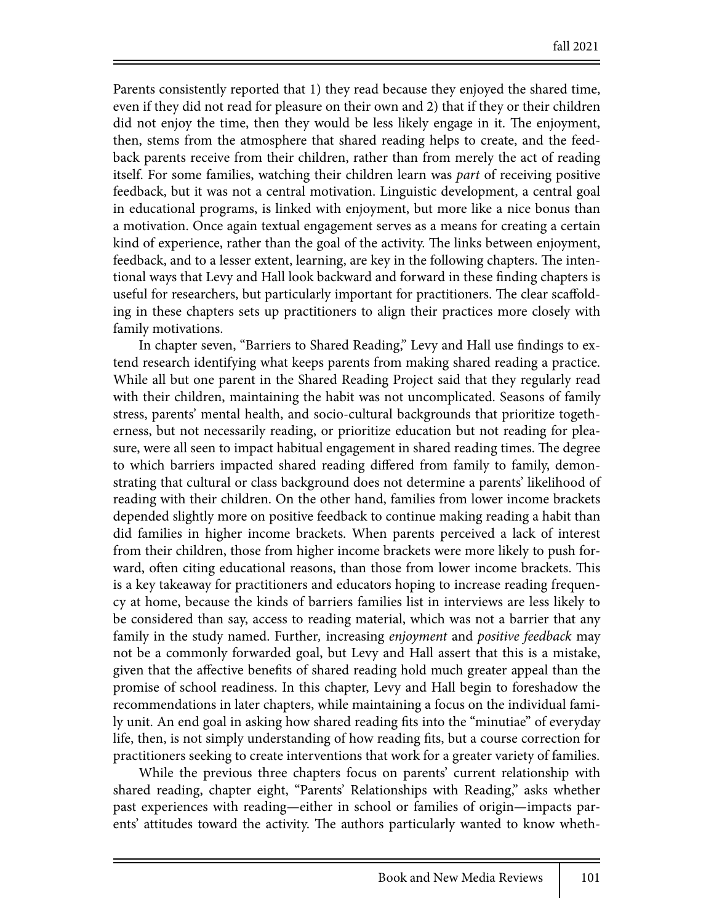Parents consistently reported that 1) they read because they enjoyed the shared time, even if they did not read for pleasure on their own and 2) that if they or their children did not enjoy the time, then they would be less likely engage in it. The enjoyment, then, stems from the atmosphere that shared reading helps to create, and the feedback parents receive from their children, rather than from merely the act of reading itself. For some families, watching their children learn was *part* of receiving positive feedback, but it was not a central motivation. Linguistic development, a central goal in educational programs, is linked with enjoyment, but more like a nice bonus than a motivation. Once again textual engagement serves as a means for creating a certain kind of experience, rather than the goal of the activity. The links between enjoyment, feedback, and to a lesser extent, learning, are key in the following chapters. The intentional ways that Levy and Hall look backward and forward in these finding chapters is useful for researchers, but particularly important for practitioners. The clear scaffolding in these chapters sets up practitioners to align their practices more closely with family motivations.

In chapter seven, "Barriers to Shared Reading," Levy and Hall use findings to extend research identifying what keeps parents from making shared reading a practice. While all but one parent in the Shared Reading Project said that they regularly read with their children, maintaining the habit was not uncomplicated. Seasons of family stress, parents' mental health, and socio-cultural backgrounds that prioritize togetherness, but not necessarily reading, or prioritize education but not reading for pleasure, were all seen to impact habitual engagement in shared reading times. The degree to which barriers impacted shared reading differed from family to family, demonstrating that cultural or class background does not determine a parents' likelihood of reading with their children. On the other hand, families from lower income brackets depended slightly more on positive feedback to continue making reading a habit than did families in higher income brackets. When parents perceived a lack of interest from their children, those from higher income brackets were more likely to push forward, often citing educational reasons, than those from lower income brackets. This is a key takeaway for practitioners and educators hoping to increase reading frequency at home, because the kinds of barriers families list in interviews are less likely to be considered than say, access to reading material, which was not a barrier that any family in the study named. Further*,* increasing *enjoyment* and *positive feedback* may not be a commonly forwarded goal, but Levy and Hall assert that this is a mistake, given that the affective benefits of shared reading hold much greater appeal than the promise of school readiness. In this chapter, Levy and Hall begin to foreshadow the recommendations in later chapters, while maintaining a focus on the individual family unit. An end goal in asking how shared reading fits into the "minutiae" of everyday life, then, is not simply understanding of how reading fits, but a course correction for practitioners seeking to create interventions that work for a greater variety of families.

While the previous three chapters focus on parents' current relationship with shared reading, chapter eight, "Parents' Relationships with Reading," asks whether past experiences with reading—either in school or families of origin—impacts parents' attitudes toward the activity. The authors particularly wanted to know wheth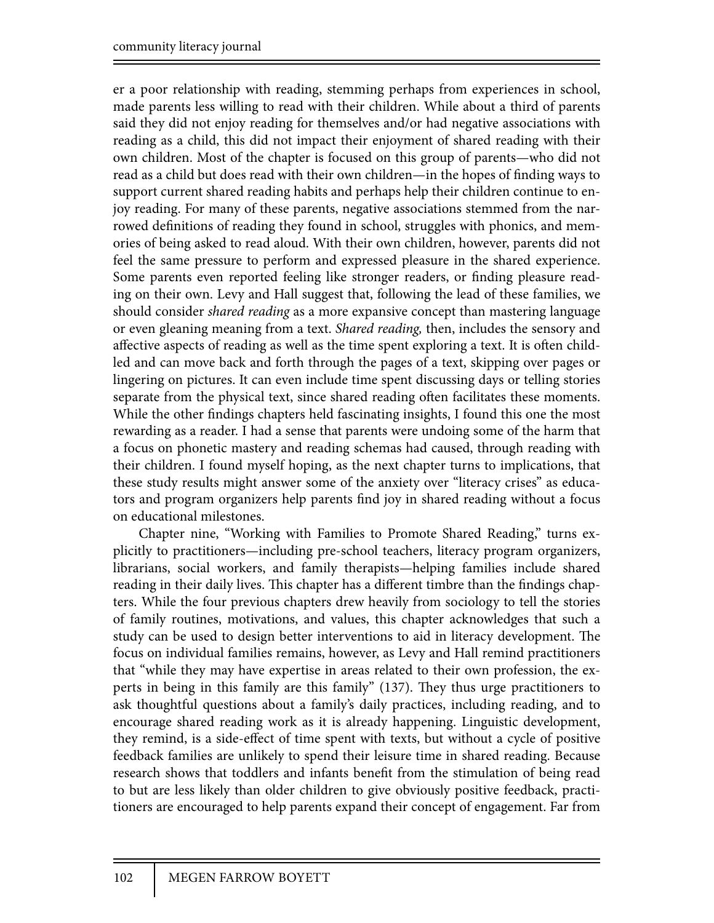er a poor relationship with reading, stemming perhaps from experiences in school, made parents less willing to read with their children. While about a third of parents said they did not enjoy reading for themselves and/or had negative associations with reading as a child, this did not impact their enjoyment of shared reading with their own children. Most of the chapter is focused on this group of parents—who did not read as a child but does read with their own children—in the hopes of finding ways to support current shared reading habits and perhaps help their children continue to enjoy reading. For many of these parents, negative associations stemmed from the narrowed definitions of reading they found in school, struggles with phonics, and memories of being asked to read aloud. With their own children, however, parents did not feel the same pressure to perform and expressed pleasure in the shared experience. Some parents even reported feeling like stronger readers, or finding pleasure reading on their own. Levy and Hall suggest that, following the lead of these families, we should consider *shared reading* as a more expansive concept than mastering language or even gleaning meaning from a text. *Shared reading,* then, includes the sensory and affective aspects of reading as well as the time spent exploring a text. It is often childled and can move back and forth through the pages of a text, skipping over pages or lingering on pictures. It can even include time spent discussing days or telling stories separate from the physical text, since shared reading often facilitates these moments. While the other findings chapters held fascinating insights, I found this one the most rewarding as a reader. I had a sense that parents were undoing some of the harm that a focus on phonetic mastery and reading schemas had caused, through reading with their children. I found myself hoping, as the next chapter turns to implications, that these study results might answer some of the anxiety over "literacy crises" as educators and program organizers help parents find joy in shared reading without a focus on educational milestones.

Chapter nine, "Working with Families to Promote Shared Reading," turns explicitly to practitioners—including pre-school teachers, literacy program organizers, librarians, social workers, and family therapists—helping families include shared reading in their daily lives. This chapter has a different timbre than the findings chapters. While the four previous chapters drew heavily from sociology to tell the stories of family routines, motivations, and values, this chapter acknowledges that such a study can be used to design better interventions to aid in literacy development. The focus on individual families remains, however, as Levy and Hall remind practitioners that "while they may have expertise in areas related to their own profession, the experts in being in this family are this family"  $(137)$ . They thus urge practitioners to ask thoughtful questions about a family's daily practices, including reading, and to encourage shared reading work as it is already happening. Linguistic development, they remind, is a side-effect of time spent with texts, but without a cycle of positive feedback families are unlikely to spend their leisure time in shared reading. Because research shows that toddlers and infants benefit from the stimulation of being read to but are less likely than older children to give obviously positive feedback, practitioners are encouraged to help parents expand their concept of engagement. Far from